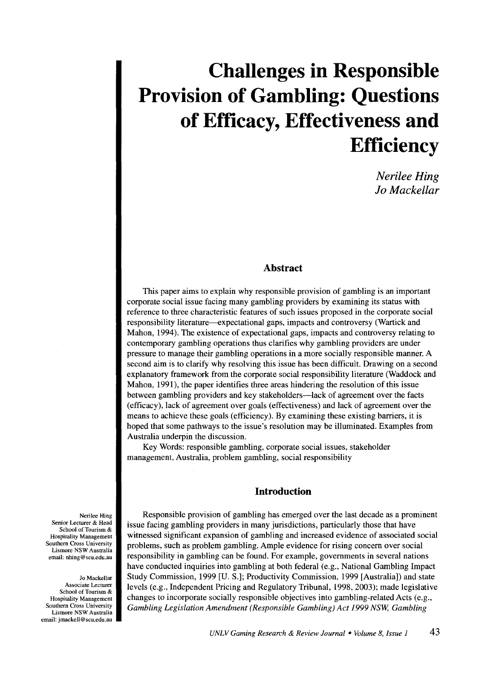# **Challenges in Responsible Provision of Gambling: Questions of Efficacy, Effectiveness and Efficiency**

*Nerilee Hing Jo Mackellar* 

## **Abstract**

This paper aims to explain why responsible provision of gambling is an important corporate social issue facing many gambling providers by examining its status with reference to three characteristic features of such issues proposed in the corporate social responsibility literature--expectational gaps, impacts and controversy (Wartick and Mahon, 1994). The existence of expectational gaps, impacts and controversy relating to contemporary gambling operations thus clarifies why gambling providers are under pressure to manage their gambling operations in a more socially responsible manner. A second aim is to clarify why resolving this issue has been difficult. Drawing on a second explanatory framework from the corporate social responsibility literature (Waddock and Mahon, 1991), the paper identifies three areas hindering the resolution of this issue between gambling providers and key stakeholders-lack of agreement over the facts (efficacy), lack of agreement over goals (effectiveness) and lack of agreement over the means to achieve these goals (efficiency). By examining these existing barriers, it is hoped that some pathways to the issue's resolution may be illuminated. Examples from Australia underpin the discussion.

Key Words: responsible gambling, corporate social issues, stakeholder management, Australia, problem gambling, social responsibility

# **Introduction**

Responsible provision of gambling has emerged over the last decade as a prominent issue facing gambling providers in many jurisdictions, particularly those that have witnessed significant expansion of gambling and increased evidence of associated social problems, such as problem gambling. Ample evidence for rising concern over social responsibility in gambling can be found. For example, governments in several nations have conducted inquiries into gambling at both federal (e.g., National Gambling Impact Study Commission, 1999 [U.S.]; Productivity Commission, 1999 [Australia]) and state levels (e.g., Independent Pricing and Regulatory Tribunal, 1998, 2003); made legislative changes to incorporate socially responsible objectives into gambling-related Acts (e.g., *Gambling Legislation Amendment (Responsible Gambling) Act 1999 NSW, Gambling* 

Nerilee Hing Senior Lecturer & Head School of Tourism & Hospitality Management Southern Cross University Lismore NSW Australia email: nhing@scu.edu.au

Jo Mackellar Associate Lecturer School of Tourism& Hospitality Management Southern Cross University Lismore NSW Australia email: jmackell@scu.edu.au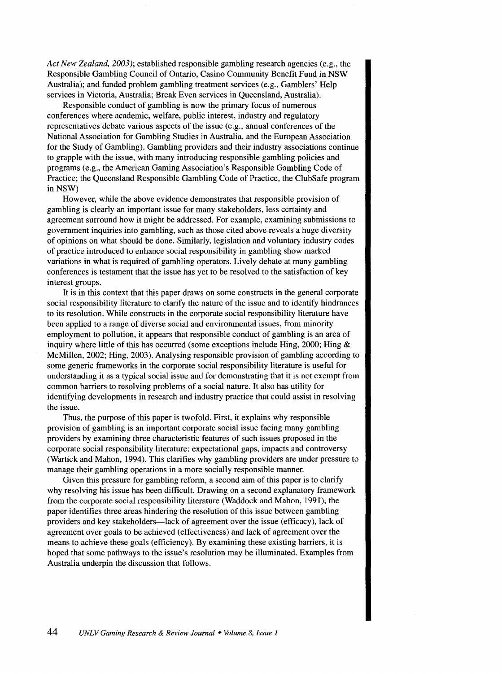*Act New Zealand, 2003 );* established responsible gambling research agencies (e.g., the Responsible Gambling Council of Ontario, Casino Community Benefit Fund in NSW Australia); and funded problem gambling treatment services (e.g., Gamblers' Help services in Victoria, Australia; Break Even services in Queensland, Australia).

Responsible conduct of gambling is now the primary focus of numerous conferences where academic, welfare, public interest, industry and regulatory representatives debate various aspects of the issue (e.g., annual conferences of the National Association for Gambling Studies in Australia, and the European Association for the Study of Gambling). Gambling providers and their industry associations continue to grapple with the issue, with many introducing responsible gambling policies and programs (e.g., the American Gaming Association's Responsible Gambling Code of Practice; the Queensland Responsible Gambling Code of Practice, the ClubSafe program in NSW)

However, while the above evidence demonstrates that responsible provision of gambling is clearly an important issue for many stakeholders, less certainty and agreement surround how it might be addressed. For example, examining submissions to government inquiries into gambling, such as those cited above reveals a huge diversity of opinions on what should be done. Similarly, legislation and voluntary industry codes of practice introduced to enhance social responsibility in gambling show marked variations in what is required of gambling operators. Lively debate at many gambling conferences is testament that the issue has yet to be resolved to the satisfaction of key interest groups.

It is in this context that this paper draws on some constructs in the general corporate social responsibility literature to clarify the nature of the issue and to identify hindrances to its resolution. While constructs in the corporate social responsibility literature have been applied to a range of diverse social and environmental issues, from minority employment to pollution, it appears that responsible conduct of gambling is an area of inquiry where little of this has occurred (some exceptions include Hing, 2000; Hing & McMillen, 2002; Hing, 2003). Analysing responsible provision of gambling according to some generic frameworks in the corporate social responsibility literature is useful for understanding it as a typical social issue and for demonstrating that it is not exempt from common barriers to resolving problems of a social nature. It also has utility for identifying developments in research and industry practice that could assist in resolving the issue.

Thus, the purpose of this paper is twofold. First, it explains why responsible provision of gambling is an important corporate social issue facing many gambling providers by examining three characteristic features of such issues proposed in the corporate social responsibility literature: expectational gaps, impacts and controversy (Wartick and Mahon, 1994). This clarifies why gambling providers are under pressure to manage their gambling operations in a more socially responsible manner.

Given this pressure for gambling reform, a second aim of this paper is to clarify why resolving his issue has been difficult. Drawing on a second explanatory framework from the corporate social responsibility literature (Waddock and Mahon, 1991), the paper identifies three areas hindering the resolution of this issue between gambling providers and key stakeholders—lack of agreement over the issue (efficacy), lack of agreement over goals to be achieved (effectiveness) and lack of agreement over the means to achieve these goals (efficiency). By examining these existing barriers, it is hoped that some pathways to the issue's resolution may be illuminated. Examples from Australia underpin the discussion that follows.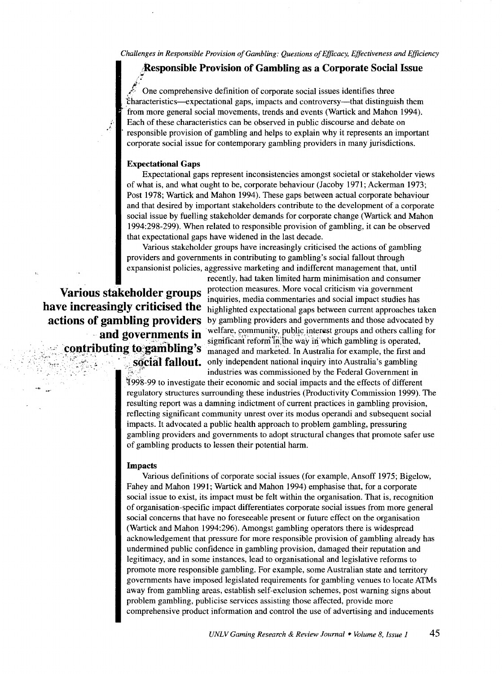*Challenges in Responsible Provision of Gambling: Questions of Efficacy, Effectiveness and Efficiency* 

# **;Responsible Provision of Gambling as a Corporate Social Issue**

*ii•*  One comprehensive definition of corporate social issues identifies three iharacteristics-expectational gaps, impacts and controversy-that distinguish them from more general social movements, trends and events (Wartick and Mahon 1994 ). Each of these characteristics can be observed in public discourse and debate on responsible provision of gambling and helps to explain why it represents an important corporate social issue for contemporary gambling providers in many jurisdictions.

#### **Expectational Gaps**

Expectationa1 gaps represent inconsistencies amongst societal or stakeholder views of what is, and what ought to be, corporate behaviour (Jacoby 1971; Ackerman 1973; Post 1978; Wartick and Mahon 1994). These gaps between actual corporate behaviour and that desired by important stakeholders contribute to the development of a corporate social issue by fuelling stakeholder demands for corporate change (Wartick and Mahon 1994:298-299). When related to responsible provision of gambling, it can be observed that expectational gaps have widened in the last decade.

Various stakeholder groups have increasingly criticised the actions of gambling providers and governments in contributing to gambling's social fallout through expansionist policies, aggressive marketing and indifferent management that, until

recently, had taken limited harm minimisation and consumer Various stakeholder groups protection measures. More vocal criticism via government inquiries, media commentaries and social impact studies has **have increasingly criticised the** highlighted expectational gaps between current approaches taken **actions of gambling providers** by gambling providers and governments and those advocated by **actions of gambling providers** by gambling providers and governments and those advocated by **and governments in** welfare, community, public interest groups and others calling for **and governments in** significant reform in the way in which gambling is operated,<br>COntributing to gambling's managed and marketed. In Australia for example, the first an **to gambling**'s <sub>managed and marketed. In Australia for example, the first and **social fallout.** only independent national inquiry into Australia's gambling</sub> only independent national inquiry into Australia's gambling industries was commissioned by the Federal Government in

> ~99S-99 to investigate their economic and social impacts and the effects of different regulatory structures surrounding these industries (Productivity Commission 1999). The resulting report was a damning indictment of current practices in gambling provision, reflecting significant community unrest over its modus operandi and subsequent social impacts. It advocated a public health approach to problem gambling, pressuring gambling providers and governments to adopt structural changes that promote safer use of gambling products to lessen their potential harm.

#### **Impacts**

Various definitions of corporate social issues (for example, Ansoff 1975; Bigelow, Fahey and Mahon 1991; Wartick and Mahon 1994) emphasise that, for a corporate social issue to exist, its impact must be felt within the organisation. That is, recognition of organisation-specific impact differentiates corporate social issues from more general social concerns that have no foreseeable present or future effect on the organisation (Wartick and Mahon 1994:296). Amongst gambling operators there is widespread acknowledgement that pressure for more responsible provision of gambling already has undermined public confidence in gambling provision, damaged their reputation and legitimacy, and in some instances, lead to organisational and legislative reforms to promote more responsible gambling. For example, some Australian state and territory governments have imposed legislated requirements for gambling venues to locate ATMs away from gambling areas, establish self-exclusion schemes, post warning signs about problem gambling, publicise services assisting those affected, provide more comprehensive product information and control the use of advertising and inducements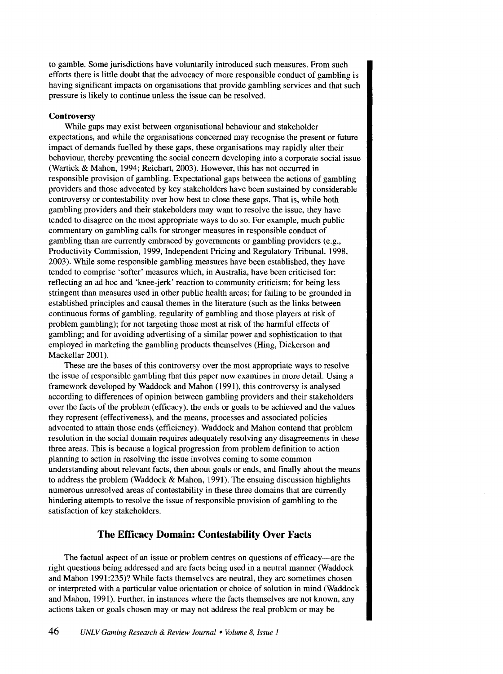to gamble. Some jurisdictions have voluntarily introduced such measures. From such efforts there is little doubt that the advocacy of more responsible conduct of gambling is having significant impacts on organisations that provide gambling services and that such pressure is likely to continue unless the issue can be resolved.

#### **Controversy**

While gaps may exist between organisational behaviour and stakeholder expectations, and while the organisations concerned may recognise the present or future impact of demands fuelled by these gaps, these organisations may rapidly alter their behaviour, thereby preventing the social concern developing into a corporate social issue (Wartick & Mahon, 1994; Reichart, 2003). However, this has not occurred in responsible provision of gambling. Expectational gaps between the actions of gambling providers and those advocated by key stakeholders have been sustained by considerable controversy or contestability over how best to close these gaps. That is, while both gambling providers and their stakeholders may want to resolve the issue, they have tended to disagree on the most appropriate ways to do so. For example, much public commentary on gambling calls for stronger measures in responsible conduct of gambling than are currently embraced by governments or gambling providers (e.g., Productivity Commission, 1999, Independent Pricing and Regulatory Tribunal, 1998, 2003). While some responsible gambling measures have been established, they have tended to comprise 'softer' measures which, in Australia, have been criticised for: reflecting an ad hoc and 'knee-jerk' reaction to community criticism; for being less stringent than measures used in other public health areas; for failing to be grounded in established principles and causal themes in the literature (such as the links between continuous forms of gambling, regularity of gambling and those players at risk of problem gambling); for not targeting those most at risk of the harmful effects of gambling; and for avoiding advertising of a similar power and sophistication to that employed in marketing the gambling products themselves (Hing, Dickerson and Mackellar 2001).

These are the bases of this controversy over the most appropriate ways to resolve the issue of responsible gambling that this paper now examines in more detail. Using a framework developed by Waddock and Mahon (1991), this controversy is analysed according to differences of opinion between gambling providers and their stakeholders over the facts of the problem (efficacy), the ends or goals to be achieved and the values they represent (effectiveness), and the means, processes and associated policies advocated to attain those ends (efficiency). Waddock and Mahon contend that problem resolution in the social domain requires adequately resolving any disagreements in these three areas. This is because a logical progression from problem definition to action planning to action in resolving the issue involves coming to some common understanding about relevant facts, then about goals or ends, and finally about the means to address the problem (Waddock & Mahon, 1991). The ensuing discussion highlights numerous unresolved areas of contestability in these three domains that are currently hindering attempts to resolve the issue of responsible provision of gambling to the satisfaction of key stakeholders.

# **The Efficacy Domain: Contestability Over Facts**

The factual aspect of an issue or problem centres on questions of efficacy—are the right questions being addressed and are facts being used in a neutral manner (Waddock and Mahon 1991:235)? While facts themselves are neutral, they are sometimes chosen or interpreted with a particular value orientation or choice of solution in mind (Waddock and Mahon, 1991). Further, in instances where the facts themselves are not known, any actions taken or goals chosen may or may not address the real problem or may be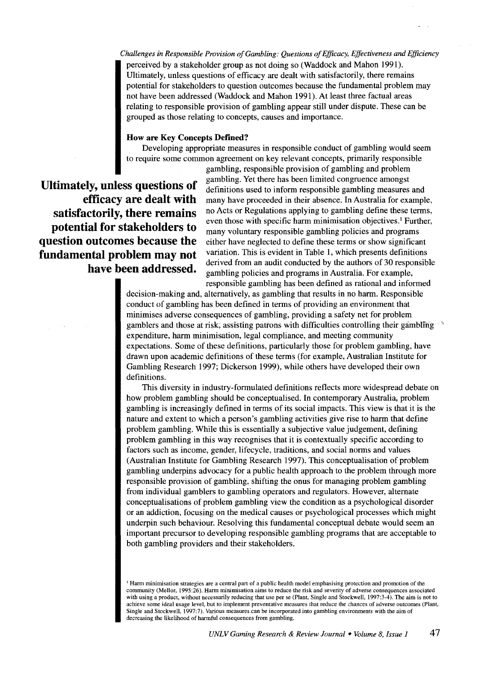*Challenges in Responsible Provision of Gambling: Questions of Efficacy, Effectiveness* and *Efficiency*  perceived by a stakeholder group as not doing so (Waddock and Mahon 1991). Ultimately, unless questions of efficacy are dealt with satisfactorily, there remains potential for stakeholders to question outcomes because the fundamental problem may not have been addressed (Waddock and Mahon 1991). At least three factual areas relating to responsible provision of gambling appear still under dispute. These can be grouped as those relating to concepts, causes and importance.

#### **How are Key Concepts Defined?**

Developing appropriate measures in responsible conduct of gambling would seem to require some common agreement on key relevant concepts, primarily responsible

**Ultimately, unless questions of efficacy are dealt with satisfactorily, there remains potential for stakeholders to question outcomes because the fundamental problem may not have been addressed.** 

gambling, responsible provision of gambling and problem gambling. Yet there has been limited congruence amongst definitions used to inform responsible gambling measures and many have proceeded in their absence. In Australia for example, no Acts or Regulations applying to gambling define these terms, even those with specific harm minimisation objectives.' Further, many voluntary responsible gambling policies and programs either have neglected to define these terms or show significant variation. This is evident in Table 1, which presents definitions derived from an audit conducted by the authors of 30 responsible gambling policies and programs in Australia. For example, responsible gambling has been defined as rational and informed

decision-making and, alternatively, as gambling that results in no harm. Responsible conduct of gambling has been defined in terms of providing an environment that minimises adverse consequences of gambling, providing a safety net for problem gamblers and those at risk; assisting patrons with difficulties controlling their gambling  $\ddot{\phantom{a}}$ expenditure, harm minimisation, legal compliance, and meeting community expectations. Some of these definitions, particularly those for problem gambling, have drawn upon academic definitions of these terms (for example, Australian Institute for Gambling Research 1997; Dickerson 1999), while others have developed their own definitions.

This diversity in industry-formulated definitions reflects more widespread debate on how problem gambling should be conceptualised. In contemporary Australia, problem gambling is increasingly defined in terms of its social impacts. This view is that it is the nature and extent to which a person's gambling activities give rise to harm that define problem gambling. While this is essentially a subjective value judgement, defining problem gambling in this way recognises that it is contextually specific according to factors such as income, gender, lifecycle, traditions, and social norms and values (Australian Institute for Gambling Research 1997). This conceptualisation of problem gambling underpins advocacy for a public health approach to the problem through more responsible provision of gambling, shifting the onus for managing problem gambling from individual gamblers to gambling operators and regulators. However, alternate conceptualisations of problem gambling view the condition as a psychological disorder or an addiction, focusing on the medical causes or psychological processes which might underpin such behaviour. Resolving this fundamental conceptual debate would seem an important precursor to developing responsible gambling programs that are acceptable to both gambling providers and their stakeholders.

<sup>&</sup>lt;sup>1</sup> Harm minimisation strategies are a central part of a public health model emphasising protection and promotion of the community (Mellor, 1995:26). Harm minimisation aims to reduce the risk and severity of adverse consequences associated with using a product, without necessarily reducing that use per se (Plant, Single and Stockwell, 1997:3-4). The aim is not to achieve some ideal usage level, but to implement preventative measures that reduce the chances of adverse outcomes (Plant, Single and Stockwell, 1997:7). Various measures can be incorporated into gambling environments with the aim of decreasing the likelihood of harmful consequences from gambling.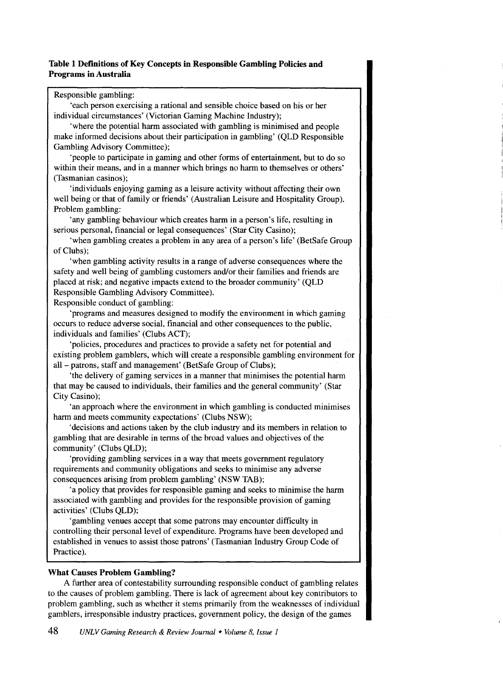# Table 1 Definitions of Key Concepts in Responsible Gambling Policies and Programs in Australia

## Responsible gambling:

'each person exercising a rational and sensible choice based on his or her individual circumstances' (Victorian Gaming Machine Industry);

'where the potential harm associated with gambling is minimised and people make informed decisions about their participation in gambling' (QLD Responsible Gambling Advisory Committee);

'people to participate in gaming and other forms of entertainment, but to do so within their means, and in a manner which brings no harm to themselves or others' (Tasmanian casinos);

'individuals enjoying gaming as a leisure activity without affecting their own well being or that of family or friends' (Australian Leisure and Hospitality Group). Problem gambling:

'any gambling behaviour which creates harm in a person's life, resulting in serious personal, financial or legal consequences' (Star City Casino);

'when gambling creates a problem in any area of a person's life' (BetSafe Group of Clubs);

'when gambling activity results in a range of adverse consequences where the safety and well being of gambling customers and/or their families and friends are placed at risk; and negative impacts extend to the broader community' (QLD Responsible Gambling Advisory Committee).

Responsible conduct of gambling:

'programs and measures designed to modify the environment in which gaming occurs to reduce adverse social, financial and other consequences to the public, individuals and families' (Clubs ACT);

'policies, procedures and practices to provide a safety net for potential and existing problem gamblers, which will create a responsible gambling environment for all- patrons, staff and management' (BetSafe Group of Clubs);

'the delivery of gaming services in a manner that minimises the potential harm that may be caused to individuals, their families and the general community' (Star City Casino);

'an approach where the environment in which gambling is conducted minimises harm and meets community expectations' (Clubs NSW);

'decisions and actions taken by the club industry and its members in relation to gambling that are desirable in terms of the broad values and objectives of the community' (Clubs QLD);

'providing gambling services in a way that meets government regulatory requirements and community obligations and seeks to minimise any adverse consequences arising from problem gambling' (NSW TAB);

'a policy that provides for responsible gaming and seeks to minimise the harm associated with gambling and provides for the responsible provision of gaming activities' (Clubs QLD);

'gambling venues accept that some patrons may encounter difficulty in controlling their personal level of expenditure. Programs have been developed and established in venues to assist those patrons' (Tasmanian Industry Group Code of Practice).

## What Causes Problem Gambling?

A further area of contestability surrounding responsible conduct of gambling relates to the causes of problem gambling. There is lack of agreement about key contributors to problem gambling, such as whether it stems primarily from the weaknesses of individual gamblers, irresponsible industry practices, government policy, the design of the games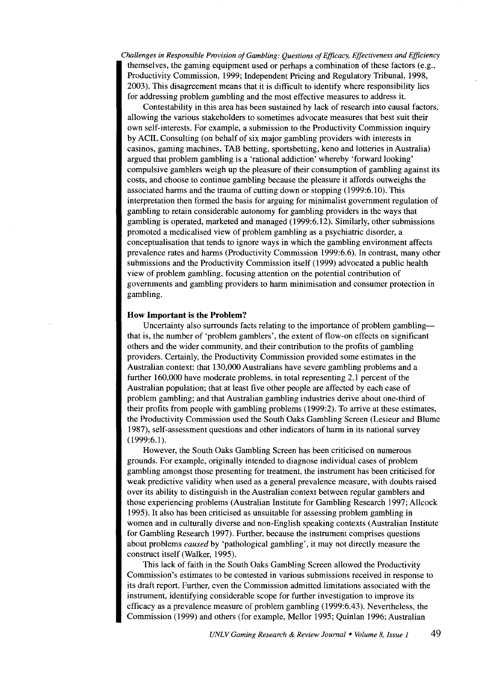*Challenges in Responsible Provision of Gambling: Questions of Efficacy, Effectiveness and Efficiency*  themselves, the gaming equipment used or perhaps a combination of these factors (e.g., Productivity Commission, 1999; Independent Pricing and Regulatory Tribunal, 1998, 2003). This disagreement means that it is difficult to identify where responsibility lies for addressing problem gambling and the most effective measures to address it.

Contestability in this area has been sustained by lack of research into causal factors, allowing the various stakeholders to sometimes advocate measures that best suit their own self-interests. For example, a submission to the Productivity Commission inquiry by ACIL Consulting (on behalf of six major gambling providers with interests in casinos, gaming machines, TAB betting, sports betting, keno and lotteries in Australia) argued that problem gambling is a 'rational addiction' whereby 'forward looking' compulsive gamblers weigh up the pleasure of their consumption of gambling against its costs, and choose to continue gambling because the pleasure it affords outweighs the associated harms and the trauma of cutting down or stopping (1999:6.10). This interpretation then formed the basis for arguing for minimalist government regulation of gambling to retain considerable autonomy for gambling providers in the ways that gambling is operated, marketed and managed (1999:6.12). Similarly, other submissions promoted a medicalised view of problem gambling as a psychiatric disorder, a conceptualisation that tends to ignore ways in which the gambling environment affects prevalence rates and harms (Productivity Commission 1999:6.6). In contrast, many other submissions and the Productivity Commission itself (1999) advocated a public health view of problem gambling, focusing attention on the potential contribution of governments and gambling providers to harm minimisation and consumer protection in gambling.

#### **How Important is the Problem?**

Uncertainty also surrounds facts relating to the importance of problem gamblingthat is, the number of 'problem gamblers', the extent of flow-on effects on significant others and the wider community, and their contribution to the profits of gambling providers. Certainly, the Productivity Commission provided some estimates in the Australian context: that 130,000 Australians have severe gambling problems and a further 160,000 have moderate problems, in total representing 2.1 percent of the Australian population; that at least five other people are affected by each case of problem gambling; and that Australian gambling industries derive about one-third of their profits from people with gambling problems (1999:2). To arrive at these estimates, the Productivity Commission used the South Oaks Gambling Screen (Lesieur and Blume 1987), self-assessment questions and other indicators of harm in its national survey (1999:6.1).

However, the South Oaks Gambling Screen has been criticised on numerous grounds. For example, originally intended to diagnose individual cases of problem gambling amongst those presenting for treatment, the instrument has been criticised for weak predictive validity when used as a general prevalence measure, with doubts raised over its ability to distinguish in the Australian context between regular gamblers and those experiencing problems (Australian Institute for Gambling Research 1997; Allcock 1995). It also has been criticised as unsuitable for assessing problem gambling in women and in culturally diverse and non-English speaking contexts (Australian Institute for Gambling Research 1997). Further, because the instrument comprises questions about problems *caused* by 'pathological gambling', it may not directly measure the construct itself (Walker, 1995).

This lack of faith in the South Oaks Gambling Screen allowed the Productivity Commission's estimates to be contested in various submissions received in response to its draft report. Further, even the Commission admitted limitations associated with the instrument, identifying considerable scope for further investigation to improve its efficacy as a prevalence measure of problem gambling (1999:6.43). Nevertheless, the Commission (1999) and others (for example, Mellor 1995; Quinlan 1996; Australian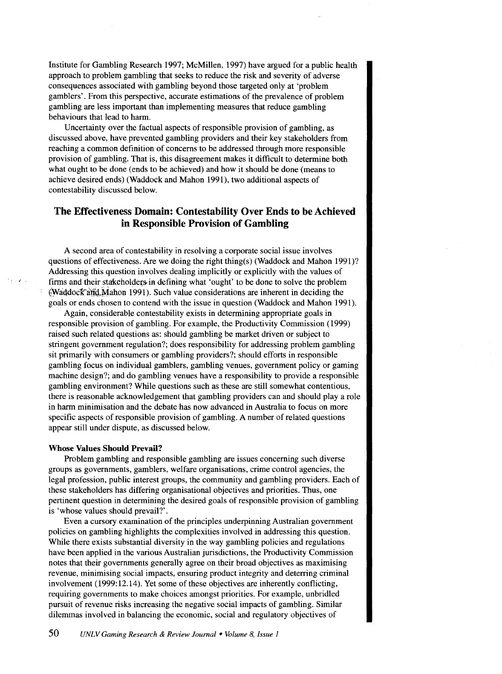Institute for Gambling Research 1997; McMillen, 1997) have argued for a public health approach to problem gambling that seeks to reduce the risk and severity of adverse consequences associated with gambling beyond those targeted only at 'problem gamblers'. From this perspective, accurate estimations of the prevalence of problem gambling are less important than implementing measures that reduce gambling behaviours that lead to harm.

Uncertainty over the factual aspects of responsible provision of gambling, as discussed above, have prevented gambling providers and their key stakeholders from reaching a common definition of concerns to be addressed through more responsible provision of gambling. That is, this disagreement makes it difficult to determine both what ought to be done (ends to be achieved) and how it should be done (means to achieve desired ends) (Waddock and Mahon 1991), two additional aspects of contestability discussed below.

# **The Effectiveness Domain: Contestability Over Ends to be Achieved in Responsible Provision of Gambling**

A second area of contestability in resolving a corporate social issue involves questions of effectiveness. Are we doing the right thing(s) (Waddock and Mahon 1991)? Addressing this question involves dealing implicitly or explicitly with the values of firms and their stakeholders in defining what 'ought' to be done to solve the problem  $\epsilon$ Waddoc $\epsilon$  and Mahon 1991). Such value considerations are inherent in deciding the goals or ends chosen to contend with the issue in question (Waddock and Mahon 1991).

Again, considerable contestability exists in determining appropriate goals in responsible provision of gambling. For example, the Productivity Commission (1999) raised such related questions as: should gambling be market driven or subject to stringent government regulation?; does responsibility for addressing problem gambling sit primarily with consumers or gambling providers?; should efforts in responsible gambling focus on individual gamblers, gambling venues, government policy or gaming machine design?; and do gambling venues have a responsibility to provide a responsible gambling environment? While questions such as these are still somewhat contentious, there is reasonable acknowledgement that gambling providers can and should play a role in harm minimisation and the debate has now advanced in Australia to focus on more specific aspects of responsible provision of gambling. A number of related questions appear still under dispute, as discussed below.

#### **Whose Values Should Prevail?**

Problem gambling and responsible gambling are issues concerning such diverse groups as governments, gamblers, welfare organisations, crime control agencies, the legal profession, public interest groups, the community and gambling providers. Each of these stakeholders has differing organisational objectives and priorities. Thus, one pertinent question in determining the desired goals of responsible provision of gambling is 'whose values should prevail?'.

Even a cursory examination of the principles underpinning Australian government policies on gambling highlights the complexities involved in addressing this question. While there exists substantial diversity in the way gambling policies and regulations have been applied in the various Australian jurisdictions, the Productivity Commission notes that their governments generally agree on their broad objectives as maximising revenue, minimising social impacts, ensuring product integrity and deterring criminal involvement (1999:12.14). Yet some of these objectives are inherently conflicting, requiring governments to make choices amongst priorities. For example, unbridled pursuit of revenue risks increasing the negative social impacts of gambling. Similar dilemmas involved in balancing the economic, social and regulatory objectives of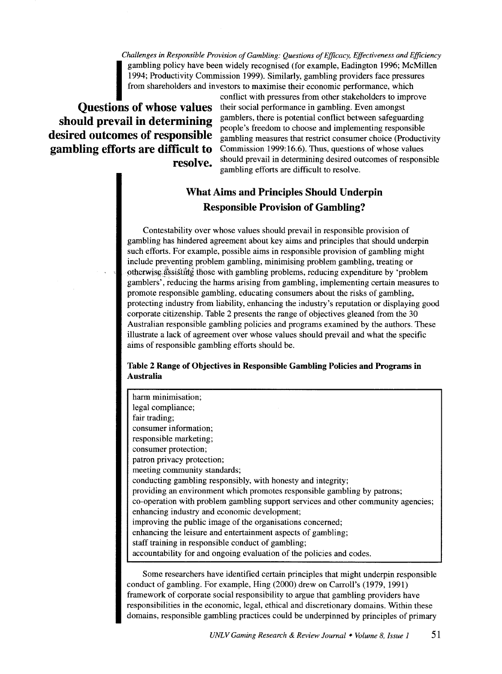*Challenges in Responsible Provision of Gambling: Questions of Efficacy, Effectiveness and Efficiency*  gambling policy have been widely recognised (for example, Eadington 1996; McMillen 1994; Productivity Commission 1999). Similarly, gambling providers face pressures from shareholders and investors to maximise their economi 1994; Productivity Commission 1999). Similarly, gambling providers face pressures from shareholders and investors to maximise their economic performance, which

conflict with pressures from other stakeholders to improve **Questions of whose values** their social performance in gambling. Even amongst **should prevail in determining** gamblers, there is potential conflict between safeguarding **desired outcomes of responsible**  $\frac{1}{2}$  people's freedom to choose and implementing responsible desired outcomes of responsible gambling measures that restrict consumer choice (Productivity) **gambling efforts are difficult to** Commission 1999:16.6). Thus, questions of whose values **resolve.** should prevail in determining desired outcomes of responsible • gambling efforts are difficult to resolve.

# **What Aims and Principles Should Underpin Responsible Provision of Gambling?**

Contestability over whose values should prevail in responsible provision of gambling has hindered agreement about key aims and principles that should underpin such efforts. For example, possible aims in responsible provision of gambling might include preventing problem gambling, minimising problem gambling, treating or otherwise assisting those with gambling problems, reducing expenditure by 'problem gamblers', reducing the harms arising from gambling, implementing certain measures to promote responsible gambling, educating consumers about the risks of gambling, protecting industry from liability, enhancing the industry's reputation or displaying good corporate citizenship. Table 2 presents the range of objectives gleaned from the 30 Australian responsible gambling policies and programs examined by the authors. These illustrate a lack of agreement over whose values should prevail and what the specific aims of responsible gambling efforts should be.

**Table 2 Range of Objectives in Responsible Gambling Policies and Programs in Australia** 

| harm minimisation;                                                                |
|-----------------------------------------------------------------------------------|
| legal compliance;                                                                 |
| fair trading;                                                                     |
| consumer information;                                                             |
| responsible marketing;                                                            |
| consumer protection;                                                              |
| patron privacy protection;                                                        |
| meeting community standards;                                                      |
| conducting gambling responsibly, with honesty and integrity;                      |
| providing an environment which promotes responsible gambling by patrons;          |
| co-operation with problem gambling support services and other community agencies; |
| enhancing industry and economic development;                                      |
| improving the public image of the organisations concerned;                        |
| enhancing the leisure and entertainment aspects of gambling;                      |
| staff training in responsible conduct of gambling;                                |
| accountability for and ongoing evaluation of the policies and codes.              |

Some researchers have identified certain principles that might underpin responsible conduct of gambling. For example, Hing (2000) drew on Carroll's (1979, 1991) framework of corporate social responsibility to argue that gambling providers have responsibilities in the economic, legal, ethical and discretionary domains. Within these domains, responsible gambling practices could be underpinned by principles of primary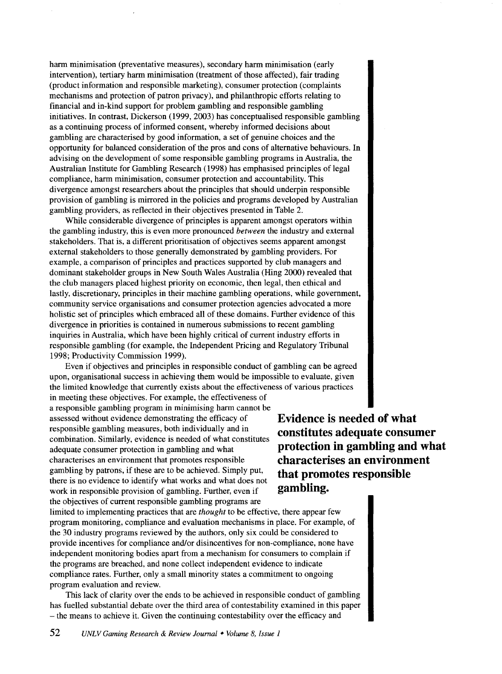harm minimisation (preventative measures), secondary harm minimisation (early intervention), tertiary hann minimisation (treatment of those affected), fair trading (product information and responsible marketing), consumer protection (complaints mechanisms and protection of patron privacy), and philanthropic efforts relating to financial and in-kind support for problem gambling and responsible gambling initiatives. In contrast, Dickerson (1999, 2003) has conceptualised responsible gambling as a continuing process of informed consent, whereby informed decisions about gambling are characterised by good information, a set of genuine choices and the opportunity for balanced consideration of the pros and cons of alternative behaviours. In advising on the development of some responsible gambling programs in Australia, the Australian Institute for Gambling Research (1998) has emphasised principles of legal compliance, harm minimisation, consumer protection and accountability. This divergence amongst researchers about the principles that should underpin responsible provision of gambling is mirrored in the policies and programs developed by Australian gambling providers, as reflected in their objectives presented in Table 2.

While considerable divergence of principles is apparent amongst operators within the gambling industry, this is even more pronounced *between* the industry and external stakeholders. That is, a different prioritisation of objectives seems apparent amongst external stakeholders to those generally demonstrated by gambling providers. For example, a comparison of principles and practices supported by club managers and dominant stakeholder groups in New South Wales Australia (Hing 2000) revealed that the club managers placed highest priority on economic, then legal, then ethical and lastly, discretionary, principles in their machine gambling operations, while government, community service organisations and consumer protection agencies advocated a more holistic set of principles which embraced all of these domains. Further evidence of this divergence in priorities is contained in numerous submissions to recent gambling inquiries in Australia, which have been highly critical of current industry efforts in responsible gambling (for example, the Independent Pricing and Regulatory Tribunal 1998; Productivity Commission 1999).

Even if objectives and principles in responsible conduct of gambling can be agreed upon, organisational success in achieving them would be impossible to evaluate, given the limited knowledge that currently exists about the effectiveness of various practices in meeting these objectives. For example, the effectiveness of

a responsible gambling program in minimising harm cannot be assessed without evidence demonstrating the efficacy of responsible gambling measures, both individually and in combination. Similarly, evidence is needed of what constitutes adequate consumer protection in gambling and what characterises an environment that promotes responsible gambling by patrons, if these are to be achieved. Simply put, there is no evidence to identify what works and what does not work in responsible provision of gambling. Further, even if the objectives of current responsible gambling programs are

**Evidence is needed of what constitutes adequate consumer protection in gambling and what characterises an environment that promotes responsible gambling.** 

limited to implementing practices that are *thought* to be effective, there appear few program monitoring, compliance and evaluation mechanisms in place. For example, of the 30 industry programs reviewed by the authors, only six could be considered to provide incentives for compliance and/or disincentives for non-compliance, none have independent monitoring bodies apart from a mechanism for consumers to complain if the programs are breached, and none collect independent evidence to indicate compliance rates. Further, only a small minority states a commitment to ongoing program evaluation and review.

This lack of clarity over the ends to be achieved in responsible conduct of gambling has fuelled substantial debate over the third area of contestability examined in this paper -the means to achieve it. Given the continuing contestability over the efficacy and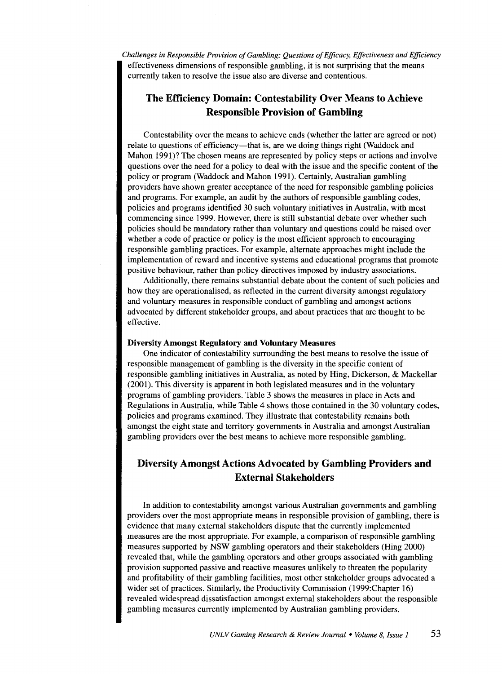*Challenges in Responsible Provision of Gambling: Questions of Efficacy, Effectiveness and Efficiency*  effectiveness dimensions of responsible gambling, it is not surprising that the means currently taken to resolve the issue also are diverse and contentious.

# **The Efficiency Domain: Contestability Over Means to Achieve Responsible Provision of Gambling**

Contestability over the means to achieve ends (whether the latter are agreed or not) relate to questions of efficiency—that is, are we doing things right (Waddock and Mahon 1991)? The chosen means are represented by policy steps or actions and involve questions over the need for a policy to deal with the issue and the specific content of the policy or program (Waddock and Mahon 1991). Certainly, Australian gambling providers have shown greater acceptance of the need for responsible gambling policies and programs. For example, an audit by the authors of responsible gambling codes, policies and programs identified 30 such voluntary initiatives in Australia, with most commencing since 1999. However, there is still substantial debate over whether such policies should be mandatory rather than voluntary and questions could be raised over whether a code of practice or policy is the most efficient approach to encouraging responsible gambling practices. For example, alternate approaches might include the implementation of reward and incentive systems and educational programs that promote positive behaviour, rather than policy directives imposed by industry associations.

Additionally, there remains substantial debate about the content of such policies and how they are operationalised, as reflected in the current diversity amongst regulatory and voluntary measures in responsible conduct of gambling and amongst actions advocated by different stakeholder groups, and about practices that are thought to be effective.

#### **Diversity Amongst Regulatory and Voluntary Measures**

One indicator of contestability surrounding the best means to resolve the issue of responsible management of gambling is the diversity in the specific content of responsible gambling initiatives in Australia, as noted by Hing, Dickerson, & Mackellar (2001). This diversity is apparent in both legislated measures and in the voluntary programs of gambling providers. Table 3 shows the measures in place in Acts and Regulations in Australia, while Table 4 shows those contained in the 30 voluntary codes, policies and programs examined. They illustrate that contestability remains both amongst the eight state and territory governments in Australia and amongst Australian gambling providers over the best means to achieve more responsible gambling.

# **Diversity Amongst Actions Advocated by Gambling Providers and External Stakeholders**

In addition to contestability amongst various Australian governments and gambling providers over the most appropriate means in responsible provision of gambling, there is evidence that many external stakeholders dispute that the currently implemented measures are the most appropriate. For example, a comparison of responsible gambling measures supported by NSW gambling operators and their stakeholders (Hing 2000) revealed that, while the gambling operators and other groups associated with gambling provision supported passive and reactive measures unlikely to threaten the popularity and profitability of their gambling facilities, most other stakeholder groups advocated a wider set of practices. Similarly, the Productivity Commission (1999:Chapter 16) revealed widespread dissatisfaction amongst external stakeholders about the responsible gambling measures currently implemented by Australian gambling providers.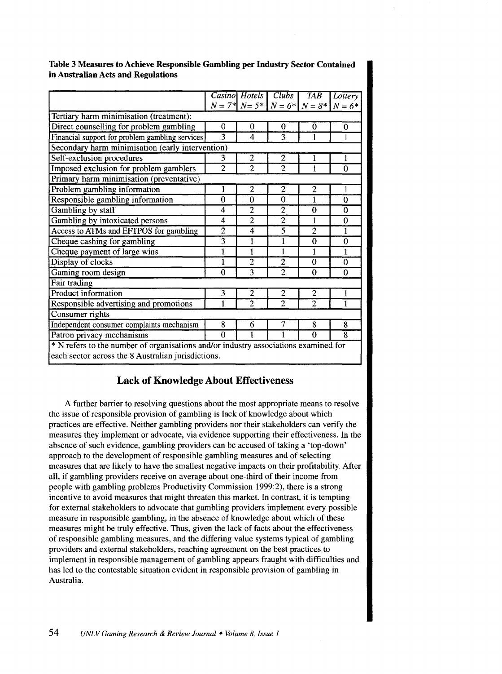Table 3 Measures to Achieve Responsible Gambling per Industry Sector Contained in Australian Acts and Regulations

|                                                                                              |                | Casino Hotels           | $\overline{Clubs}$ | <b>TAB</b>     | Lottery      |  |  |  |
|----------------------------------------------------------------------------------------------|----------------|-------------------------|--------------------|----------------|--------------|--|--|--|
|                                                                                              |                |                         |                    |                |              |  |  |  |
| $N = 7$ * $N = 5$ * $N = 6$ * $N = 8$ * $N = 6$ *<br>Tertiary harm minimisation (treatment): |                |                         |                    |                |              |  |  |  |
|                                                                                              |                |                         |                    |                |              |  |  |  |
| Direct counselling for problem gambling                                                      | 0              | 0                       | $\Omega$           | $\bf{0}$       | 0            |  |  |  |
| Financial support for problem gambling services                                              | 3              | $\overline{\mathbf{4}}$ | 3                  | 1              | 1            |  |  |  |
| Secondary harm minimisation (early intervention)                                             |                |                         |                    |                |              |  |  |  |
| Self-exclusion procedures                                                                    | 3              | 2                       | 2                  | 1              | $\mathbf{1}$ |  |  |  |
| Imposed exclusion for problem gamblers                                                       | $\overline{2}$ | $\overline{2}$          | $\overline{2}$     | 1              | $\Omega$     |  |  |  |
| Primary harm minimisation (preventative)                                                     |                |                         |                    |                |              |  |  |  |
| Problem gambling information                                                                 | 1              | 2                       | 2                  | 2              | 1            |  |  |  |
| Responsible gambling information                                                             | $\theta$       | 0                       | $\theta$           | 1              | $\Omega$     |  |  |  |
| Gambling by staff                                                                            | 4              | $\overline{2}$          | $\overline{2}$     | 0              | $\mathbf{0}$ |  |  |  |
| Gambling by intoxicated persons                                                              | 4              | $\overline{2}$          | $\overline{2}$     | 1              | $\mathbf 0$  |  |  |  |
| Access to ATMs and EFTPOS for gambling                                                       | $\overline{2}$ | 4                       | $\overline{5}$     | $\overline{2}$ | 1            |  |  |  |
| Cheque cashing for gambling                                                                  | $\overline{3}$ | 1                       | 1                  | $\theta$       | $\theta$     |  |  |  |
| Cheque payment of large wins                                                                 | 1              | 1                       | 1                  | 1              | 1            |  |  |  |
| Display of clocks                                                                            | 1              | $\overline{2}$          | $\overline{2}$     | $\theta$       | $\Omega$     |  |  |  |
| Gaming room design                                                                           | $\Omega$       | $\overline{3}$          | $\overline{2}$     | $\bf{0}$       | $\mathbf 0$  |  |  |  |
| Fair trading                                                                                 |                |                         |                    |                |              |  |  |  |
| Product information                                                                          | 3              | 2                       | 2                  | $\overline{2}$ | 1            |  |  |  |
| Responsible advertising and promotions                                                       | 1              | $\overline{c}$          | $\overline{2}$     | $\overline{2}$ | 1            |  |  |  |
| Consumer rights                                                                              |                |                         |                    |                |              |  |  |  |
| Independent consumer complaints mechanism                                                    | 8              | 6                       | 7                  | 8              | 8            |  |  |  |
| Patron privacy mechanisms                                                                    | $\Omega$       |                         |                    | $\Omega$       | 8            |  |  |  |
| * N refers to the number of organisations and/or industry associations examined for          |                |                         |                    |                |              |  |  |  |

each sector across the 8 Australian jurisdictions.

# Lack of Knowledge About Effectiveness

A further barrier to resolving questions about the most appropriate means to resolve the issue of responsible provision of gambling is lack of knowledge about which practices are effective. Neither gambling providers nor their stakeholders can verify the measures they implement or advocate, via evidence supporting their effectiveness. In the absence of such evidence, gambling providers can be accused of taking a 'top-down' approach to the development of responsible gambling measures and of selecting measures that are likely to have the smallest negative impacts on their profitability. After all, if gambling providers receive on average about one-third of their income from people with gambling problems Productivity Commission 1999:2), there is a strong incentive to avoid measures that might threaten this market. In contrast, it is tempting for external stakeholders to advocate that gambling providers implement every possible measure in responsible gambling, in the absence of knowledge about which of these measures might be truly effective. Thus, given the lack of facts about the effectiveness of responsible gambling measures, and the differing value systems typical of gambling providers and external stakeholders, reaching agreement on the best practices to implement in responsible management of gambling appears fraught with difficulties and has led to the contestable situation evident in responsible provision of gambling in Australia.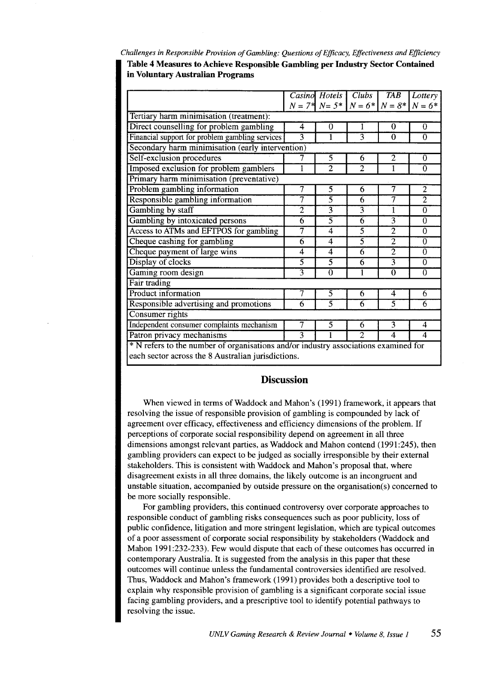*Challenges in Responsible Provision of Gambling: Questions of Efficacy, Effectiveness and Efficiency*  **Table 4 Measures to Achieve Responsible Gambling per Industry Sector Contained in Voluntary Australian Programs** 

|                                                                                     | Casino         | Hotels            | Clubs          | TAB            | Lottery        |  |  |  |
|-------------------------------------------------------------------------------------|----------------|-------------------|----------------|----------------|----------------|--|--|--|
|                                                                                     |                | $N = 7*$ $N = 5*$ | $N = 6*$       | $N=8*$         | $N = 6*$       |  |  |  |
| Tertiary harm minimisation (treatment):                                             |                |                   |                |                |                |  |  |  |
| Direct counselling for problem gambling                                             | 4              | $\bf{0}$          | 1              | $\bf{0}$       | $\theta$       |  |  |  |
| Financial support for problem gambling services                                     | 3              | 1                 | 3              | $\mathbf{0}$   | $\Omega$       |  |  |  |
| Secondary harm minimisation (early intervention)                                    |                |                   |                |                |                |  |  |  |
| Self-exclusion procedures                                                           | 7              | 5                 | 6              | 2              | $\theta$       |  |  |  |
| Imposed exclusion for problem gamblers                                              | 1              | $\overline{2}$    | $\overline{2}$ | 1              | $\Omega$       |  |  |  |
| Primary harm minimisation (preventative)                                            |                |                   |                |                |                |  |  |  |
| Problem gambling information                                                        | 7              | $\overline{5}$    | 6              | 7              | $\overline{2}$ |  |  |  |
| Responsible gambling information                                                    | 7              | $\overline{5}$    | 6              | 7              | $\overline{2}$ |  |  |  |
| Gambling by staff                                                                   | $\overline{2}$ | 3                 | $\overline{3}$ | 1              | $\theta$       |  |  |  |
| Gambling by intoxicated persons                                                     | 6              | $\overline{5}$    | $\overline{6}$ | $\overline{3}$ | $\theta$       |  |  |  |
| Access to ATMs and EFTPOS for gambling                                              | 7              | 4                 | $\overline{5}$ | $\overline{2}$ | $\mathbf 0$    |  |  |  |
| Cheque cashing for gambling                                                         | 6              | $\overline{4}$    | $\overline{5}$ | $\overline{2}$ | $\Omega$       |  |  |  |
| Cheque payment of large wins                                                        | 4              | 4                 | $\overline{6}$ | $\overline{2}$ | $\theta$       |  |  |  |
| Display of clocks                                                                   | 5              | $\overline{5}$    | 6              | $\overline{3}$ | $\Omega$       |  |  |  |
| Gaming room design                                                                  | $\overline{3}$ | $\overline{0}$    | 1              | $\overline{0}$ | $\theta$       |  |  |  |
| <b>Fair trading</b>                                                                 |                |                   |                |                |                |  |  |  |
| Product information                                                                 | 7              | 5                 | 6              | 4              | 6              |  |  |  |
| Responsible advertising and promotions                                              | 6              | $\overline{5}$    | 6              | 5              | 6              |  |  |  |
| Consumer rights                                                                     |                |                   |                |                |                |  |  |  |
| Independent consumer complaints mechanism                                           | 7              | 5                 | 6              | 3              | 4              |  |  |  |
| Patron privacy mechanisms                                                           | 3              |                   | $\overline{2}$ | $\overline{4}$ | 4              |  |  |  |
| * N refers to the number of organisations and/or industry associations examined for |                |                   |                |                |                |  |  |  |

each sector across the 8 Australian jurisdictions.

## **Discussion**

When viewed in terms of Waddock and Mahon's (1991) framework, it appears that resolving the issue of responsible provision of gambling is compounded by lack of agreement over efficacy, effectiveness and efficiency dimensions of the problem. If perceptions of corporate social responsibility depend on agreement in all three dimensions amongst relevant parties, as Waddock and Mahon contend (1991:245), then gambling providers can expect to be judged as socially irresponsible by their external stakeholders. This is consistent with Waddock and Mahon's proposal that, where disagreement exists in all three domains, the likely outcome is an incongruent and unstable situation, accompanied by outside pressure on the organisation(s) concerned to be more socially responsible.

For gambling providers, this continued controversy over corporate approaches to responsible conduct of gambling risks consequences such as poor publicity, loss of public confidence, litigation and more stringent legislation, which are typical outcomes of a poor assessment of corporate social responsibility by stakeholders (Waddock and Mahon 1991:232-233). Few would dispute that each of these outcomes has occurred in contemporary Australia. It is suggested from the analysis in this paper that these outcomes will continue unless the fundamental controversies identified are resolved. Thus, Waddock and Mahon's framework (1991) provides both a descriptive tool to explain why responsible provision of gambling is a significant corporate social issue facing gambling providers, and a prescriptive tool to identify potential pathways to resolving the issue.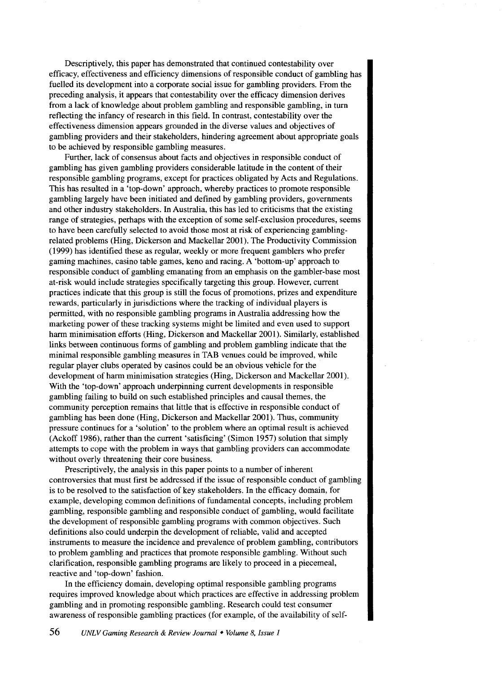Descriptively, this paper has demonstrated that continued contestability over efficacy, effectiveness and efficiency dimensions of responsible conduct of gambling has fuelled its development into a corporate social issue for gambling providers. From the preceding analysis, it appears that contestability over the efficacy dimension derives from a lack of knowledge about problem gambling and responsible gambling, in turn reflecting the infancy of research in this field. In contrast, contestability over the effectiveness dimension appears grounded in the diverse values and objectives of gambling providers and their stakeholders, hindering agreement about appropriate goals to be achieved by responsible gambling measures.

Further, lack of consensus about facts and objectives in responsible conduct of gambling has given gambling providers considerable latitude in the content of their responsible gambling programs, except for practices obligated by Acts and Regulations. This has resulted in a 'top-down' approach, whereby practices to promote responsible gambling largely have been initiated and defined by gambling providers, governments and other industry stakeholders. In Australia, this has led to criticisms that the existing range of strategies, perhaps with the exception of some self-exclusion procedures, seems to have been carefully selected to avoid those most at risk of experiencing gamblingrelated problems (Ring, Dickerson and Mackellar 2001). The Productivity Commission (1999) has identified these as regular, weekly or more frequent gamblers who prefer gaming machines, casino table games, keno and racing. A 'bottom-up' approach to responsible conduct of gambling emanating from an emphasis on the gambler-base most at-risk would include strategies specifically targeting this group. However, current practices indicate that this group is still the focus of promotions, prizes and expenditure rewards, particularly in jurisdictions where the tracking of individual players is permitted, with no responsible gambling programs in Australia addressing how the marketing power of these tracking systems might be limited and even used to support harm minimisation efforts (Hing, Dickerson and Mackellar 2001). Similarly, established links between continuous forms of gambling and problem gambling indicate that the minimal responsible gambling measures in TAB venues could be improved, while regular player clubs operated by casinos could be an obvious vehicle for the development of harm minimisation strategies (Hing, Dickerson and Mackellar 2001). With the 'top-down' approach underpinning current developments in responsible gambling failing to build on such established principles and causal themes, the community perception remains that little that is effective in responsible conduct of gambling has been done (Hing, Dickerson and Mackellar 2001). Thus, community pressure continues for a 'solution' to the problem where an optimal result is achieved (Ackoff 1986), rather than the current 'satisficing' (Simon 1957) solution that simply attempts to cope with the problem in ways that gambling providers can accommodate without overly threatening their core business.

Prescriptively, the analysis in this paper points to a number of inherent controversies that must first be addressed if the issue of responsible conduct of gambling is to be resolved to the satisfaction of key stakeholders. In the efficacy domain, for example, developing common definitions of fundamental concepts, including problem gambling, responsible gambling and responsible conduct of gambling, would facilitate the development of responsible gambling programs with common objectives. Such definitions also could underpin the development of reliable, valid and accepted instruments to measure the incidence and prevalence of problem gambling, contributors to problem gambling and practices that promote responsible gambling. Without such clarification, responsible gambling programs are likely to proceed in a piecemeal, reactive and 'top-down' fashion.

In the efficiency domain, developing optimal responsible gambling programs requires improved knowledge about which practices are effective in addressing problem gambling and in promoting responsible gambling. Research could test consumer awareness of responsible gambling practices (for example, of the availability of self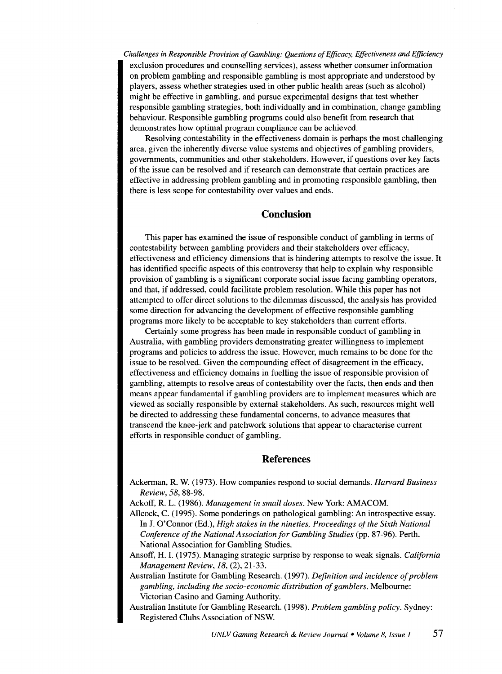*Challenges in Responsible Provision of Gambling: Questions of Efficacy, Effectiveness and Efficiency*  exclusion procedures and counselling services), assess whether consumer information on problem gambling and responsible gambling is most appropriate and understood by players, assess whether strategies used in other public health areas (such as alcohol) might be effective in gambling, and pursue experimental designs that test whether responsible gambling strategies, both individually and in combination, change gambling behaviour. Responsible gambling programs could also benefit from research that demonstrates how optimal program compliance can be achieved.

Resolving contestability in the effectiveness domain is perhaps the most challenging area, given the inherently diverse value systems and objectives of gambling providers, governments, communities and other stakeholders. However, if questions over key facts of the issue can be resolved and if research can demonstrate that certain practices are effective in addressing problem gambling and in promoting responsible gambling, then there is less scope for contestability over values and ends.

## **Conclusion**

This paper has examined the issue of responsible conduct of gambling in terms of contestability between gambling providers and their stakeholders over efficacy, effectiveness and efficiency dimensions that is hindering attempts to resolve the issue. It has identified specific aspects of this controversy that help to explain why responsible provision of gambling is a significant corporate social issue facing gambling operators, and that, if addressed, could facilitate problem resolution. While this paper has not attempted to offer direct solutions to the dilemmas discussed, the analysis has provided some direction for advancing the development of effective responsible gambling programs more likely to be acceptable to key stakeholders than current efforts.

Certainly some progress has been made in responsible conduct of gambling in Australia, with gambling providers demonstrating greater willingness to implement programs and policies to address the issue. However, much remains to be done for the issue to be resolved. Given the compounding effect of disagreement in the efficacy, effectiveness and efficiency domains in fuelling the issue of responsible provision of gambling, attempts to resolve areas of contestability over the facts, then ends and then means appear fundamental if gambling providers are to implement measures which are viewed as socially responsible by external stakeholders. As such, resources might well be directed to addressing these fundamental concerns, to advance measures that transcend the knee-jerk and patchwork solutions that appear to characterise current efforts in responsible conduct of gambling.

## **References**

Ackerman, R. W. (1973). How companies respond to social demands. *Harvard Business Review, 58,* 88-98.

Ackoff, R. L. (1986). *Management in small doses.* New York: AMACOM.

- Allcock, C. (1995). Some ponderings on pathological gambling: An introspective essay. In J. O'Connor (Ed.), *High stakes in the nineties, Proceedings of the Sixth National Conference of the National Association for Gambling Studies* (pp. 87-96). Perth. National Association for Gambling Studies.
- Ansoff, H. I. (1975). Managing strategic surprise by response to weak signals. *California Management Review, 18,* (2), 21-33.

Australian Institute for Gambling Research. (1997). *Definition and incidence of problem gambling, including the socio-economic distribution of gamblers.* Melbourne: Victorian Casino and Gaming Authority.

Australian Institute for Gambling Research. (1998). *Problem gambling policy.* Sydney: Registered Clubs Association of NSW.